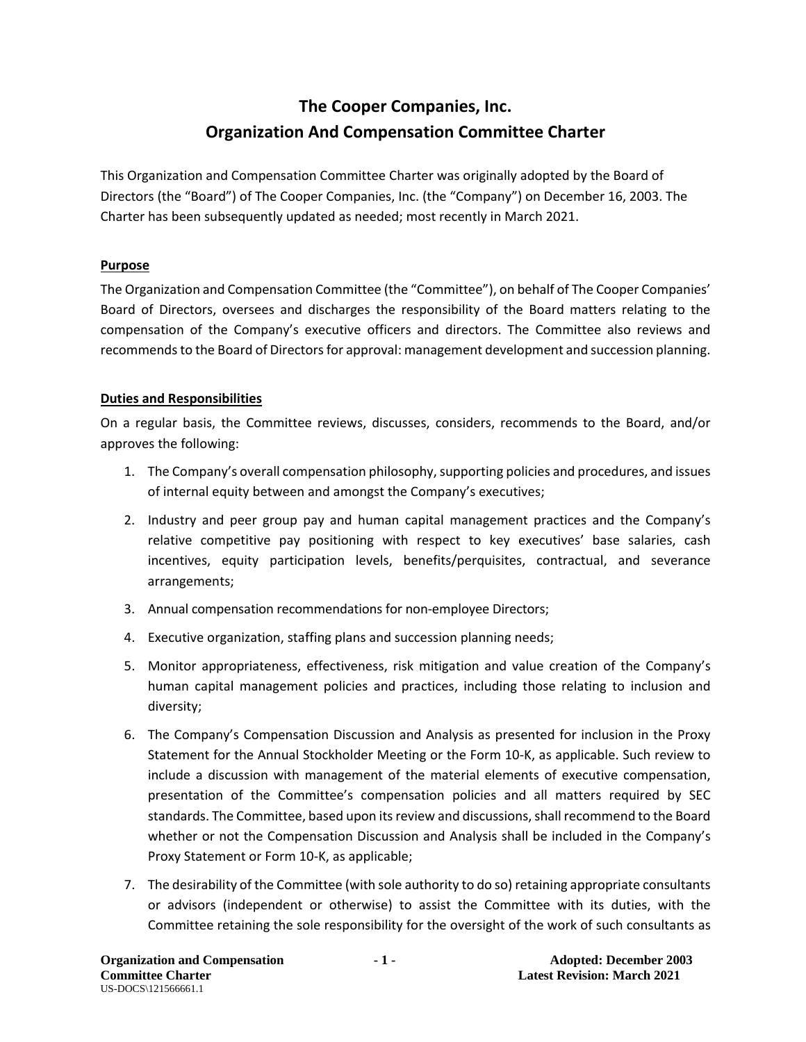# **The Cooper Companies, Inc. Organization And Compensation Committee Charter**

This Organization and Compensation Committee Charter was originally adopted by the Board of Directors (the "Board") of The Cooper Companies, Inc. (the "Company") on December 16, 2003. The Charter has been subsequently updated as needed; most recently in March 2021.

### **Purpose**

The Organization and Compensation Committee (the "Committee"), on behalf of The Cooper Companies' Board of Directors, oversees and discharges the responsibility of the Board matters relating to the compensation of the Company's executive officers and directors. The Committee also reviews and recommends to the Board of Directors for approval: management development and succession planning.

## **Duties and Responsibilities**

On a regular basis, the Committee reviews, discusses, considers, recommends to the Board, and/or approves the following:

- 1. The Company's overall compensation philosophy, supporting policies and procedures, and issues of internal equity between and amongst the Company's executives;
- 2. Industry and peer group pay and human capital management practices and the Company's relative competitive pay positioning with respect to key executives' base salaries, cash incentives, equity participation levels, benefits/perquisites, contractual, and severance arrangements;
- 3. Annual compensation recommendations for non-employee Directors;
- 4. Executive organization, staffing plans and succession planning needs;
- 5. Monitor appropriateness, effectiveness, risk mitigation and value creation of the Company's human capital management policies and practices, including those relating to inclusion and diversity;
- 6. The Company's Compensation Discussion and Analysis as presented for inclusion in the Proxy Statement for the Annual Stockholder Meeting or the Form 10-K, as applicable. Such review to include a discussion with management of the material elements of executive compensation, presentation of the Committee's compensation policies and all matters required by SEC standards. The Committee, based upon its review and discussions, shall recommend to the Board whether or not the Compensation Discussion and Analysis shall be included in the Company's Proxy Statement or Form 10-K, as applicable;
- 7. The desirability of the Committee (with sole authority to do so) retaining appropriate consultants or advisors (independent or otherwise) to assist the Committee with its duties, with the Committee retaining the sole responsibility for the oversight of the work of such consultants as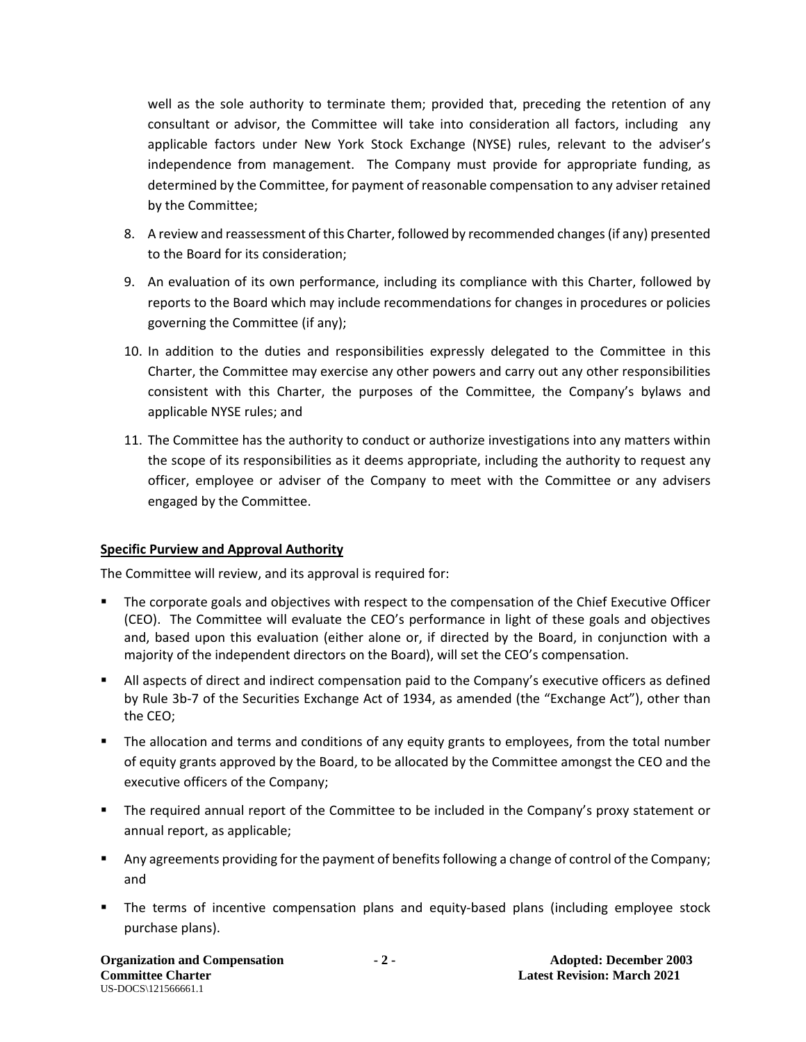well as the sole authority to terminate them; provided that, preceding the retention of any consultant or advisor, the Committee will take into consideration all factors, including any applicable factors under New York Stock Exchange (NYSE) rules, relevant to the adviser's independence from management. The Company must provide for appropriate funding, as determined by the Committee, for payment of reasonable compensation to any adviser retained by the Committee;

- 8. A review and reassessment of this Charter, followed by recommended changes (if any) presented to the Board for its consideration;
- 9. An evaluation of its own performance, including its compliance with this Charter, followed by reports to the Board which may include recommendations for changes in procedures or policies governing the Committee (if any);
- 10. In addition to the duties and responsibilities expressly delegated to the Committee in this Charter, the Committee may exercise any other powers and carry out any other responsibilities consistent with this Charter, the purposes of the Committee, the Company's bylaws and applicable NYSE rules; and
- 11. The Committee has the authority to conduct or authorize investigations into any matters within the scope of its responsibilities as it deems appropriate, including the authority to request any officer, employee or adviser of the Company to meet with the Committee or any advisers engaged by the Committee.

### **Specific Purview and Approval Authority**

The Committee will review, and its approval is required for:

- The corporate goals and objectives with respect to the compensation of the Chief Executive Officer (CEO). The Committee will evaluate the CEO's performance in light of these goals and objectives and, based upon this evaluation (either alone or, if directed by the Board, in conjunction with a majority of the independent directors on the Board), will set the CEO's compensation.
- All aspects of direct and indirect compensation paid to the Company's executive officers as defined by Rule 3b-7 of the Securities Exchange Act of 1934, as amended (the "Exchange Act"), other than the CEO;
- **The allocation and terms and conditions of any equity grants to employees, from the total number** of equity grants approved by the Board, to be allocated by the Committee amongst the CEO and the executive officers of the Company;
- **The required annual report of the Committee to be included in the Company's proxy statement or** annual report, as applicable;
- **Any agreements providing for the payment of benefits following a change of control of the Company;** and
- The terms of incentive compensation plans and equity-based plans (including employee stock purchase plans).